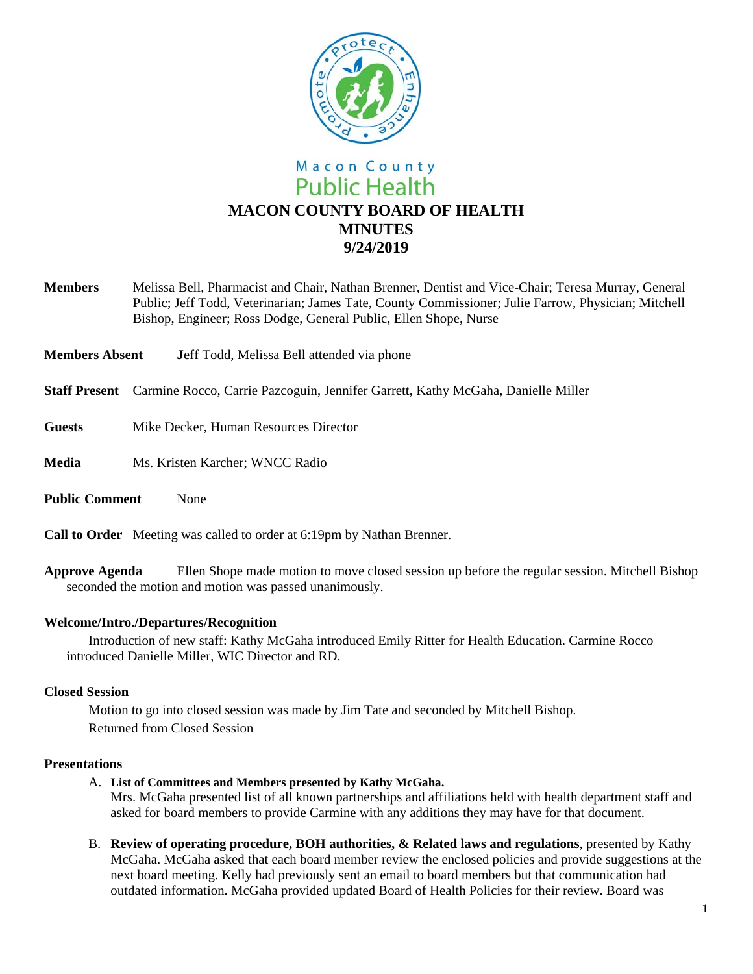

- **Members** Melissa Bell, Pharmacist and Chair, Nathan Brenner, Dentist and Vice-Chair; Teresa Murray, General Public; Jeff Todd, Veterinarian; James Tate, County Commissioner; Julie Farrow, Physician; Mitchell Bishop, Engineer; Ross Dodge, General Public, Ellen Shope, Nurse
- **Members Absent J**eff Todd, Melissa Bell attended via phone
- **Staff Present** Carmine Rocco, Carrie Pazcoguin, Jennifer Garrett, Kathy McGaha, Danielle Miller
- **Guests** Mike Decker, Human Resources Director
- **Media** Ms. Kristen Karcher; WNCC Radio
- **Public Comment** None

**Call to Order** Meeting was called to order at 6:19pm by Nathan Brenner.

**Approve Agenda** Ellen Shope made motion to move closed session up before the regular session. Mitchell Bishop seconded the motion and motion was passed unanimously.

## **Welcome/Intro./Departures/Recognition**

Introduction of new staff: Kathy McGaha introduced Emily Ritter for Health Education. Carmine Rocco introduced Danielle Miller, WIC Director and RD.

#### **Closed Session**

Motion to go into closed session was made by Jim Tate and seconded by Mitchell Bishop. Returned from Closed Session

#### **Presentations**

A. **List of Committees and Members presented by Kathy McGaha.** 

Mrs. McGaha presented list of all known partnerships and affiliations held with health department staff and asked for board members to provide Carmine with any additions they may have for that document.

B. **Review of operating procedure, BOH authorities, & Related laws and regulations**, presented by Kathy McGaha. McGaha asked that each board member review the enclosed policies and provide suggestions at the next board meeting. Kelly had previously sent an email to board members but that communication had outdated information. McGaha provided updated Board of Health Policies for their review. Board was